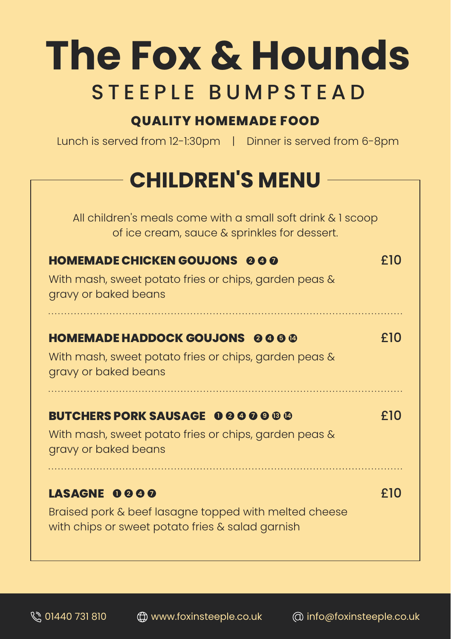# **The Fox & Hounds** STEEPLE BUMPSTEAD

### **QUALITY HOMEMADE FOOD**

Lunch is served from 12-1:30pm | Dinner is served from 6-8pm

## **CHILDREN'S MENU**

| All children's meals come with a small soft drink & I scoop<br>of ice cream, sauce & sprinkles for dessert. |     |
|-------------------------------------------------------------------------------------------------------------|-----|
| <b>HOMEMADE CHICKEN GOUJONS 000</b>                                                                         | £10 |
| With mash, sweet potato fries or chips, garden peas &<br>gravy or baked beans                               |     |
| <b>HOMEMADE HADDOCK GOUJONS @ @ @ @</b>                                                                     | £10 |
| With mash, sweet potato fries or chips, garden peas &<br>gravy or baked beans                               |     |
| <b>BUTCHERS PORK SAUSAGE 0000000</b>                                                                        | £10 |
| With mash, sweet potato fries or chips, garden peas &<br>gravy or baked beans                               |     |
| LASAGNE 0000                                                                                                | £10 |
| Braised pork & beef lasagne topped with melted cheese<br>with chips or sweet potato fries & salad garnish   |     |